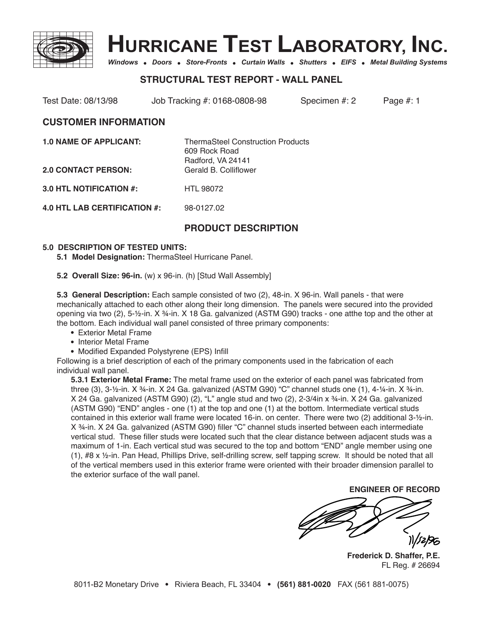



Windows . Doors . Store-Fronts . Curtain Walls . Shutters . EIFS . Metal Building Systems

# **STRUCTURAL TEST REPORT - WALL PANEL**

Test Date: 08/13/98 Job Tracking #: 0168-0808-98 Specimen #: 2 Page #: 1

## **CUSTOMER INFORMATION**

| <b>ThermaSteel Construction Products</b> |
|------------------------------------------|
| 609 Rock Road                            |
| Radford, VA 24141                        |
| Gerald B. Colliflower                    |
|                                          |

**3.0 HTL NOTIFICATION #:** HTL 98072

**4.0 HTL LAB CERTIFICATION #:** 98-0127.02

# **PRODUCT DESCRIPTION**

#### **5.0 DESCRIPTION OF TESTED UNITS:**

**5.1 Model Designation:** ThermaSteel Hurricane Panel.

**5.2 Overall Size: 96-in.** (w) x 96-in. (h) [Stud Wall Assembly]

**5.3 General Description:** Each sample consisted of two (2), 48-in. X 96-in. Wall panels - that were mechanically attached to each other along their long dimension. The panels were secured into the provided opening via two (2), 5-½-in. X 34-in. X 18 Ga. galvanized (ASTM G90) tracks - one atthe top and the other at the bottom. Each individual wall panel consisted of three primary components:

- Exterior Metal Frame
- Interior Metal Frame
- Modified Expanded Polystyrene (EPS) Infill

Following is a brief description of each of the primary components used in the fabrication of each individual wall panel.

**5.3.1 Exterior Metal Frame:** The metal frame used on the exterior of each panel was fabricated from three (3), 3-½-in. X ¾-in. X 24 Ga. galvanized (ASTM G90) "C" channel studs one (1), 4-¼-in. X ¾-in. X 24 Ga. galvanized (ASTM G90) (2), "L" angle stud and two (2), 2-3/4in x ¾-in. X 24 Ga. galvanized (ASTM G90) "END" angles - one (1) at the top and one (1) at the bottom. Intermediate vertical studs contained in this exterior wall frame were located 16-in. on center. There were two (2) additional 3-½-in. X ¾-in. X 24 Ga. galvanized (ASTM G90) filler "C" channel studs inserted between each intermediate vertical stud. These filler studs were located such that the clear distance between adjacent studs was a maximum of 1-in. Each vertical stud was secured to the top and bottom "END" angle member using one (1), #8 x ½-in. Pan Head, Phillips Drive, self-drilling screw, self tapping screw. It should be noted that all of the vertical members used in this exterior frame were oriented with their broader dimension parallel to the exterior surface of the wall panel.

**ENGINEER OF RECORD**

**Frederick D. Shaffer, P.E.** FL Reg. # 26694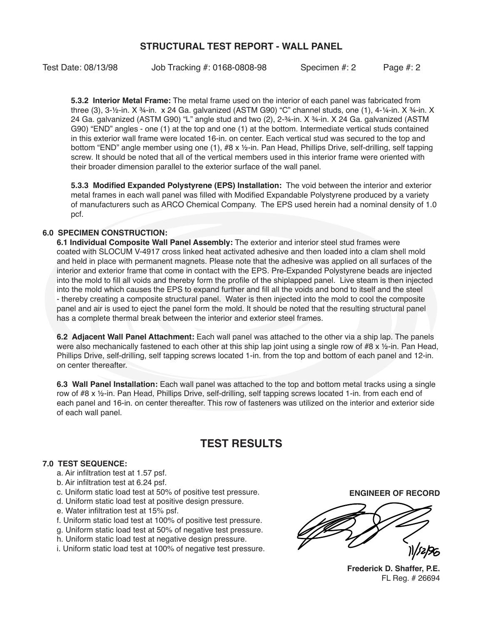# **STRUCTURAL TEST REPORT - WALL PANEL**

Test Date: 08/13/98 Job Tracking #: 0168-0808-98 Specimen #: 2 Page #: 2

**5.3.2 Interior Metal Frame:** The metal frame used on the interior of each panel was fabricated from three (3), 3-½-in. X ¾-in. x 24 Ga. galvanized (ASTM G90) "C" channel studs, one (1), 4-¼-in. X ¾-in. X 24 Ga. galvanized (ASTM G90) "L" angle stud and two (2), 2-¾-in. X ¾-in. X 24 Ga. galvanized (ASTM G90) "END" angles - one (1) at the top and one (1) at the bottom. Intermediate vertical studs contained in this exterior wall frame were located 16-in. on center. Each vertical stud was secured to the top and bottom "END" angle member using one (1), #8 x ½-in. Pan Head, Phillips Drive, self-drilling, self tapping screw. It should be noted that all of the vertical members used in this interior frame were oriented with their broader dimension parallel to the exterior surface of the wall panel.

**5.3.3 Modified Expanded Polystyrene (EPS) Installation:** The void between the interior and exterior metal frames in each wall panel was filled with Modified Expandable Polystyrene produced by a variety of manufacturers such as ARCO Chemical Company. The EPS used herein had a nominal density of 1.0 pcf.

### **6.0 SPECIMEN CONSTRUCTION:**

**6.1 Individual Composite Wall Panel Assembly:** The exterior and interior steel stud frames were coated with SLOCUM V-4917 cross linked heat activated adhesive and then loaded into a clam shell mold and held in place with permanent magnets. Please note that the adhesive was applied on all surfaces of the interior and exterior frame that come in contact with the EPS. Pre-Expanded Polystyrene beads are injected into the mold to fill all voids and thereby form the profile of the shiplapped panel. Live steam is then injected into the mold which causes the EPS to expand further and fill all the voids and bond to itself and the steel - thereby creating a composite structural panel. Water is then injected into the mold to cool the composite panel and air is used to eject the panel form the mold. It should be noted that the resulting structural panel has a complete thermal break between the interior and exterior steel frames.

**6.2 Adjacent Wall Panel Attachment:** Each wall panel was attached to the other via a ship lap. The panels were also mechanically fastened to each other at this ship lap joint using a single row of #8 x 1/2-in. Pan Head, Phillips Drive, self-drilling, self tapping screws located 1-in. from the top and bottom of each panel and 12-in. on center thereafter.

**6.3 Wall Panel Installation:** Each wall panel was attached to the top and bottom metal tracks using a single row of #8 x ½-in. Pan Head, Phillips Drive, self-drilling, self tapping screws located 1-in. from each end of each panel and 16-in. on center thereafter. This row of fasteners was utilized on the interior and exterior side of each wall panel.

# **TEST RESULTS**

### **7.0 TEST SEQUENCE:**

- a. Air infiltration test at 1.57 psf.
- b. Air infiltration test at 6.24 psf.
- c. Uniform static load test at 50% of positive test pressure.
- d. Uniform static load test at positive design pressure.
- e. Water infiltration test at 15% psf.
- f. Uniform static load test at 100% of positive test pressure.
- g. Uniform static load test at 50% of negative test pressure.
- h. Uniform static load test at negative design pressure.

i. Uniform static load test at 100% of negative test pressure.

**ENGINEER OF RECORD**

**Frederick D. Shaffer, P.E.** FL Reg. # 26694